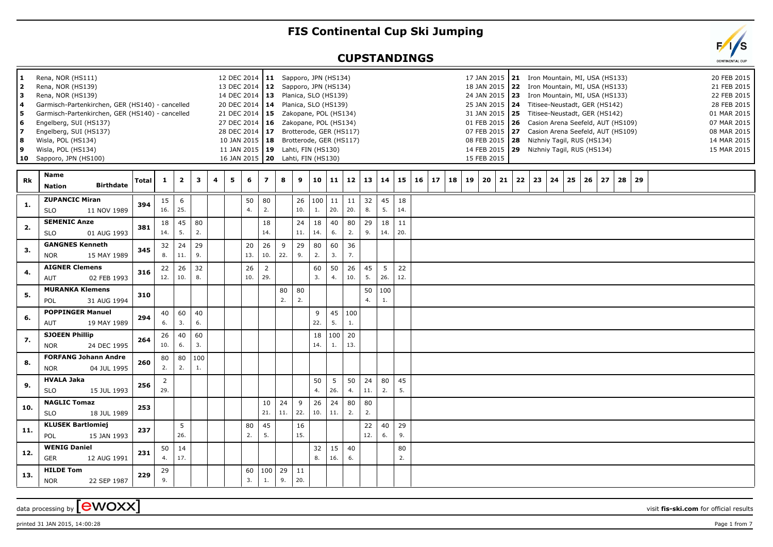## **FIS Continental Cup Ski Jumping**

## **CUPSTANDINGS**



| 11.<br>2<br>lз.<br>l 4<br>5<br>6<br>17<br>8<br>و ا<br>10 | Rena, NOR (HS111)<br>Rena, NOR (HS139)<br>Rena, NOR (HS139)<br>Engelberg, SUI (HS137)<br>Engelberg, SUI (HS137)<br>Wisla, POL (HS134)<br>Wisla, POL (HS134)<br>Sapporo, JPN (HS100) | Garmisch-Partenkirchen, GER (HS140) - cancelled<br>Garmisch-Partenkirchen, GER (HS140) - cancelled |              |                       |                         |           |   |   | 12 DEC 2014   11 Sapporo, JPN (HS134)<br>13 DEC 2014   12 Sapporo, JPN (HS134)<br>14 DEC 2014   13 Planica, SLO (HS139)<br>20 DEC 2014   14 Planica, SLO (HS139)<br>21 DEC 2014   15 Zakopane, POL (HS134)<br>27 DEC 2014   16  Zakopane, POL (HS134)<br>28 DEC 2014   17 Brotterode, GER (HS117)<br>10 JAN 2015   18 Brotterode, GER (HS117)<br>11 JAN 2015   19 Lahti, FIN (HS130)<br>16 JAN 2015   20 Lahti, FIN (HS130) |                |           |                   |           |                   |           |           |           |           |                    |    | 17 JAN 2015   21 Iron Mountain, MI, USA (HS133)<br>18 JAN 2015   22 Iron Mountain, MI, USA (HS133)<br>24 JAN 2015   23 Iron Mountain, MI, USA (HS133)<br>25 JAN 2015 24 Titisee-Neustadt, GER (HS142)<br>31 JAN 2015 25 Titisee-Neustadt, GER (HS142)<br>01 FEB 2015   26 Casion Arena Seefeld, AUT (HS109)<br>07 FEB 2015 27 Casion Arena Seefeld, AUT (HS109)<br>08 FEB 2015   28 Nizhniy Tagil, RUS (HS134)<br>14 FEB 2015   29 Nizhniy Tagil, RUS (HS134)<br>15 FEB 2015 |    |    |            |    |    |    |    |    |    |  |  | 20 FEB 2015<br>21 FEB 2015<br>22 FEB 2015<br>28 FEB 2015<br>01 MAR 2015<br>07 MAR 2015<br>08 MAR 2015<br>14 MAR 2015<br>15 MAR 2015 |
|----------------------------------------------------------|-------------------------------------------------------------------------------------------------------------------------------------------------------------------------------------|----------------------------------------------------------------------------------------------------|--------------|-----------------------|-------------------------|-----------|---|---|-----------------------------------------------------------------------------------------------------------------------------------------------------------------------------------------------------------------------------------------------------------------------------------------------------------------------------------------------------------------------------------------------------------------------------|----------------|-----------|-------------------|-----------|-------------------|-----------|-----------|-----------|-----------|--------------------|----|------------------------------------------------------------------------------------------------------------------------------------------------------------------------------------------------------------------------------------------------------------------------------------------------------------------------------------------------------------------------------------------------------------------------------------------------------------------------------|----|----|------------|----|----|----|----|----|----|--|--|-------------------------------------------------------------------------------------------------------------------------------------|
| Rk                                                       | <b>Name</b><br><b>Nation</b>                                                                                                                                                        | <b>Birthdate</b>                                                                                   | <b>Total</b> | 1                     | $\overline{\mathbf{2}}$ | 3         | 4 | 5 | 6                                                                                                                                                                                                                                                                                                                                                                                                                           | $\overline{7}$ | 8         | 9                 | 10        | 11                | 12        | 13        | 14        | 15        | 16<br>$17 \mid 18$ | 19 | 20                                                                                                                                                                                                                                                                                                                                                                                                                                                                           | 21 | 22 | $\vert$ 23 | 24 | 25 | 26 | 27 | 28 | 29 |  |  |                                                                                                                                     |
| -1.                                                      | <b>ZUPANCIC Miran</b><br><b>SLO</b>                                                                                                                                                 | 11 NOV 1989                                                                                        | 394          | 15<br>16.             | 6<br>25.                |           |   |   | 50<br>4.                                                                                                                                                                                                                                                                                                                                                                                                                    | 80<br>2.       |           | 26<br>10.         | 100<br>1. | $\vert$ 11<br>20. | 11<br>20. | 32<br>8.  | 45<br>5.  | 18<br>14. |                    |    |                                                                                                                                                                                                                                                                                                                                                                                                                                                                              |    |    |            |    |    |    |    |    |    |  |  |                                                                                                                                     |
| 2.                                                       | <b>SEMENIC Anze</b><br><b>SLO</b>                                                                                                                                                   | 01 AUG 1993                                                                                        | 381          | 18<br>14.             | 45<br>5.                | 80<br>2.  |   |   |                                                                                                                                                                                                                                                                                                                                                                                                                             | 18<br>14.      |           | 24<br>11.         | 18<br>14. | 40<br>6.          | 80<br>2.  | 29<br>9.  | 18<br>14. | 11<br>20. |                    |    |                                                                                                                                                                                                                                                                                                                                                                                                                                                                              |    |    |            |    |    |    |    |    |    |  |  |                                                                                                                                     |
| 3.                                                       | <b>GANGNES Kenneth</b><br><b>NOR</b>                                                                                                                                                | 15 MAY 1989                                                                                        | 345          | 32<br>8.              | 24<br>11.               | 29<br>9.  |   |   | 20<br>13.                                                                                                                                                                                                                                                                                                                                                                                                                   | 26<br>10.      | 9<br>22.  | 29<br>9.          | 80<br>2.  | 60<br>3.          | 36<br>7.  |           |           |           |                    |    |                                                                                                                                                                                                                                                                                                                                                                                                                                                                              |    |    |            |    |    |    |    |    |    |  |  |                                                                                                                                     |
| 4.                                                       | <b>AIGNER Clemens</b><br><b>AUT</b>                                                                                                                                                 | 02 FEB 1993                                                                                        | 316          | 22<br>12.             | 26<br>10.               | 32<br>8.  |   |   | 26<br>10.                                                                                                                                                                                                                                                                                                                                                                                                                   | 2<br>29.       |           |                   | 60<br>3.  | 50<br>4.          | 26<br>10. | 45<br>5.  | 5<br>26.  | 22<br>12. |                    |    |                                                                                                                                                                                                                                                                                                                                                                                                                                                                              |    |    |            |    |    |    |    |    |    |  |  |                                                                                                                                     |
| 5.                                                       | POL                                                                                                                                                                                 | <b>MURANKA Klemens</b><br>31 AUG 1994                                                              | 310          |                       |                         |           |   |   |                                                                                                                                                                                                                                                                                                                                                                                                                             |                | 80<br>2.  | 80<br>2.          |           |                   |           | 50<br>4.  | 100<br>1. |           |                    |    |                                                                                                                                                                                                                                                                                                                                                                                                                                                                              |    |    |            |    |    |    |    |    |    |  |  |                                                                                                                                     |
| 6.                                                       | <b>AUT</b>                                                                                                                                                                          | <b>POPPINGER Manuel</b><br>19 MAY 1989                                                             | 294          | 40<br>6.              | 60<br>3.                | 40<br>6.  |   |   |                                                                                                                                                                                                                                                                                                                                                                                                                             |                |           |                   | 9<br>22.  | 45<br>5.          | 100<br>1. |           |           |           |                    |    |                                                                                                                                                                                                                                                                                                                                                                                                                                                                              |    |    |            |    |    |    |    |    |    |  |  |                                                                                                                                     |
| 7.                                                       | <b>SJOEEN Phillip</b><br><b>NOR</b>                                                                                                                                                 | 24 DEC 1995                                                                                        | 264          | 26<br>10.             | 40<br>6.                | 60<br>3.  |   |   |                                                                                                                                                                                                                                                                                                                                                                                                                             |                |           |                   | 18<br>14. | 100<br>1.         | 20<br>13. |           |           |           |                    |    |                                                                                                                                                                                                                                                                                                                                                                                                                                                                              |    |    |            |    |    |    |    |    |    |  |  |                                                                                                                                     |
| 8.                                                       | <b>NOR</b>                                                                                                                                                                          | <b>FORFANG Johann Andre</b><br>04 JUL 1995                                                         | 260          | 80<br>2.              | 80<br>2.                | 100<br>1. |   |   |                                                                                                                                                                                                                                                                                                                                                                                                                             |                |           |                   |           |                   |           |           |           |           |                    |    |                                                                                                                                                                                                                                                                                                                                                                                                                                                                              |    |    |            |    |    |    |    |    |    |  |  |                                                                                                                                     |
| 9.                                                       | <b>HVALA Jaka</b><br><b>SLO</b>                                                                                                                                                     | 15 JUL 1993                                                                                        | 256          | $\overline{2}$<br>29. |                         |           |   |   |                                                                                                                                                                                                                                                                                                                                                                                                                             |                |           |                   | 50<br>4.  | 5<br>26.          | 50<br>4.  | 24<br>11. | 80<br>2.  | 45<br>5.  |                    |    |                                                                                                                                                                                                                                                                                                                                                                                                                                                                              |    |    |            |    |    |    |    |    |    |  |  |                                                                                                                                     |
| 10.                                                      | <b>NAGLIC Tomaz</b><br><b>SLO</b>                                                                                                                                                   | 18 JUL 1989                                                                                        | 253          |                       |                         |           |   |   |                                                                                                                                                                                                                                                                                                                                                                                                                             | 10<br>21.      | 24<br>11. | 9<br>22.          | 26<br>10. | 24<br>11.         | 80<br>2.  | 80<br>2.  |           |           |                    |    |                                                                                                                                                                                                                                                                                                                                                                                                                                                                              |    |    |            |    |    |    |    |    |    |  |  |                                                                                                                                     |
| 11.                                                      | <b>KLUSEK Bartlomiej</b><br>POL                                                                                                                                                     | 15 JAN 1993                                                                                        | 237          |                       | 5<br>26.                |           |   |   | 80<br>2.                                                                                                                                                                                                                                                                                                                                                                                                                    | 45<br>5.       |           | 16<br>15.         |           |                   |           | 22<br>12. | 40<br>6.  | 29<br>9.  |                    |    |                                                                                                                                                                                                                                                                                                                                                                                                                                                                              |    |    |            |    |    |    |    |    |    |  |  |                                                                                                                                     |
| 12.                                                      | <b>WENIG Daniel</b><br><b>GER</b>                                                                                                                                                   | 12 AUG 1991                                                                                        | 231          | 50<br>4.              | 14<br>17.               |           |   |   |                                                                                                                                                                                                                                                                                                                                                                                                                             |                |           |                   | 32<br>8.  | 15<br>16.         | 40<br>6.  |           |           | 80<br>2.  |                    |    |                                                                                                                                                                                                                                                                                                                                                                                                                                                                              |    |    |            |    |    |    |    |    |    |  |  |                                                                                                                                     |
| 13.                                                      | <b>HILDE Tom</b><br><b>NOR</b>                                                                                                                                                      | 22 SEP 1987                                                                                        | 229          | 29<br>9.              |                         |           |   |   | 60<br>3.                                                                                                                                                                                                                                                                                                                                                                                                                    | 100<br>1.      | 29<br>9.  | $\vert$ 11<br>20. |           |                   |           |           |           |           |                    |    |                                                                                                                                                                                                                                                                                                                                                                                                                                                                              |    |    |            |    |    |    |    |    |    |  |  |                                                                                                                                     |

data processing by **CWOXX** visit **fis-ski.com** for official results

 $p$ rinted 31 JAN 2015, 14:00:28 Page 1 from 7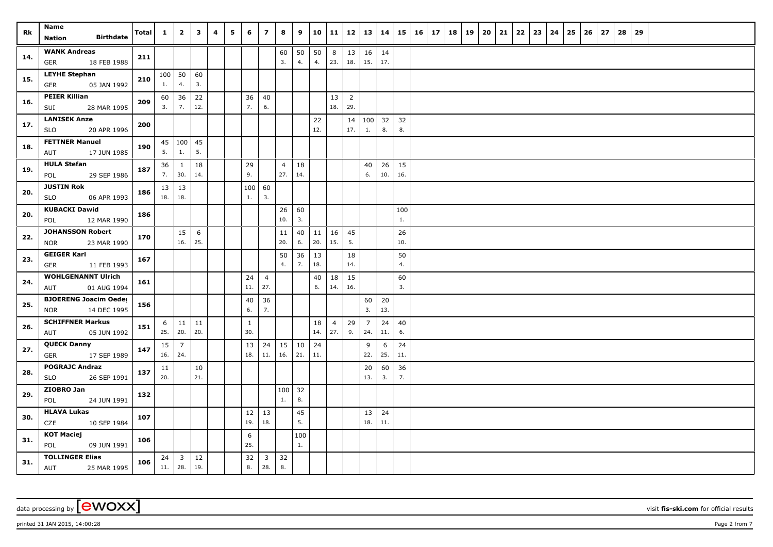| Rk  | Name<br><b>Birthdate</b><br>Nation                        | Total | $\mathbf{1}$                   | $\overline{2}$      | $\mathbf{3}$ | 4 | 5 | 6                   | $\overline{z}$        | 8                     | 9                                  | 10        | 11                    | 12                    | 13                    | 14        |           | $15 \mid 16 \mid 17$ | 18 | 19 | 20 | 21 | 22 | 23 | 24 | 25 | 26 | 27 | 28 | 29 |  |  |  |
|-----|-----------------------------------------------------------|-------|--------------------------------|---------------------|--------------|---|---|---------------------|-----------------------|-----------------------|------------------------------------|-----------|-----------------------|-----------------------|-----------------------|-----------|-----------|----------------------|----|----|----|----|----|----|----|----|----|----|----|----|--|--|--|
| 14. | <b>WANK Andreas</b><br>18 FEB 1988<br>GER                 | 211   |                                |                     |              |   |   |                     |                       | 60<br>3.              | 50<br>4.                           | 50<br>4.  | 8<br>23.              | 13<br>18.             | 16<br>15.             | 14<br>17. |           |                      |    |    |    |    |    |    |    |    |    |    |    |    |  |  |  |
| 15. | <b>LEYHE Stephan</b><br><b>GER</b><br>05 JAN 1992         | 210   | 1.                             | $100$ 50<br>4.      | 60<br>3.     |   |   |                     |                       |                       |                                    |           |                       |                       |                       |           |           |                      |    |    |    |    |    |    |    |    |    |    |    |    |  |  |  |
| 16. | <b>PEIER Killian</b><br>SUI<br>28 MAR 1995                | 209   | 3.                             | $60 \mid 36$<br>7.  | 22<br>12.    |   |   | 36<br>7.            | 40<br>6.              |                       |                                    |           | 13<br>18.             | $\overline{2}$<br>29. |                       |           |           |                      |    |    |    |    |    |    |    |    |    |    |    |    |  |  |  |
| 17. | <b>LANISEK Anze</b><br><b>SLO</b><br>20 APR 1996          | 200   |                                |                     |              |   |   |                     |                       |                       |                                    | 22<br>12. |                       | 14<br>17.             | 100 32<br>1.          | 8.        | 32<br>8.  |                      |    |    |    |    |    |    |    |    |    |    |    |    |  |  |  |
| 18. | <b>FETTNER Manuel</b><br>17 JUN 1985<br>AUT               | 190   | 5.                             | $45 \mid 100$<br>1. | 45<br>5.     |   |   |                     |                       |                       |                                    |           |                       |                       |                       |           |           |                      |    |    |    |    |    |    |    |    |    |    |    |    |  |  |  |
| 19. | <b>HULA Stefan</b><br>29 SEP 1986<br>POL                  | 187   | 36<br>7.                       | $\mathbf{1}$<br>30. | 18<br>14.    |   |   | 29<br>9.            |                       | $\overline{4}$<br>27. | 18<br>14.                          |           |                       |                       | 40<br>6.              | 26<br>10. | 15<br>16. |                      |    |    |    |    |    |    |    |    |    |    |    |    |  |  |  |
| 20. | <b>JUSTIN Rok</b><br>06 APR 1993<br><b>SLO</b>            | 186   | $13 \mid 13$<br>$18. \mid 18.$ |                     |              |   |   | 100<br>1.           | 60<br>3.              |                       |                                    |           |                       |                       |                       |           |           |                      |    |    |    |    |    |    |    |    |    |    |    |    |  |  |  |
| 20. | <b>KUBACKI Dawid</b><br>12 MAR 1990<br>POL                | 186   |                                |                     |              |   |   |                     |                       | 26<br>10.             | 60<br>3.                           |           |                       |                       |                       |           | 100<br>1. |                      |    |    |    |    |    |    |    |    |    |    |    |    |  |  |  |
| 22. | <b>JOHANSSON Robert</b><br>23 MAR 1990<br><b>NOR</b>      | 170   |                                | 15<br>16.           | 6<br>25.     |   |   |                     |                       | 11<br>20.             | 40<br>6.                           | 11<br>20. | 16<br>15.             | 45<br>5.              |                       |           | 26<br>10. |                      |    |    |    |    |    |    |    |    |    |    |    |    |  |  |  |
| 23. | <b>GEIGER Karl</b><br><b>GER</b><br>11 FEB 1993           | 167   |                                |                     |              |   |   |                     |                       | 50<br>4.              | 36<br>7.                           | 13<br>18. |                       | 18<br>14.             |                       |           | 50<br>4.  |                      |    |    |    |    |    |    |    |    |    |    |    |    |  |  |  |
| 24. | <b>WOHLGENANNT Ulrich</b><br>AUT<br>01 AUG 1994           | 161   |                                |                     |              |   |   | 24<br>11.           | $\overline{4}$<br>27. |                       |                                    | 40<br>6.  | 18<br>14.             | 15<br>16.             |                       |           | 60<br>3.  |                      |    |    |    |    |    |    |    |    |    |    |    |    |  |  |  |
| 25. | <b>BJOERENG Joacim Oeder</b><br>14 DEC 1995<br><b>NOR</b> | 156   |                                |                     |              |   |   | 40<br>$6.$          | 36<br>7.              |                       |                                    |           |                       |                       | 60<br>3.              | 20<br>13. |           |                      |    |    |    |    |    |    |    |    |    |    |    |    |  |  |  |
| 26. | <b>SCHIFFNER Markus</b><br>05 JUN 1992<br>AUT             | 151   | 6<br>25.                       | $\vert$ 11<br> 20.  | 11<br>20.    |   |   | $\mathbf{1}$<br>30. |                       |                       |                                    | 18<br>14. | $\overline{4}$<br>27. | 29<br>9.              | $\overline{7}$<br>24. | 24<br>11. | 40<br>6.  |                      |    |    |    |    |    |    |    |    |    |    |    |    |  |  |  |
| 27. | <b>QUECK Danny</b><br>17 SEP 1989<br>GER                  | 147   | 15<br>16.   24.                | $\overline{7}$      |              |   |   | 13<br>18.           | 24<br>11.             | $15 \mid 10$<br>16.   | $\begin{array}{c} 21. \end{array}$ | 24<br>11. |                       |                       | 9<br>22.              | 6<br>25.  | 24<br>11. |                      |    |    |    |    |    |    |    |    |    |    |    |    |  |  |  |
| 28. | <b>POGRAJC Andraz</b><br>SLO<br>26 SEP 1991               | 137   | 11<br>20.                      |                     | 10<br>21.    |   |   |                     |                       |                       |                                    |           |                       |                       | 20<br>13.             | 60<br>3.  | 36<br>7.  |                      |    |    |    |    |    |    |    |    |    |    |    |    |  |  |  |
| 29. | ZIOBRO Jan<br>POL<br>24 JUN 1991                          | 132   |                                |                     |              |   |   |                     |                       | $100 \mid 32$<br>1.   | 8.                                 |           |                       |                       |                       |           |           |                      |    |    |    |    |    |    |    |    |    |    |    |    |  |  |  |
| 30. | <b>HLAVA Lukas</b><br>CZE<br>10 SEP 1984                  | 107   |                                |                     |              |   |   | 12<br>19.           | 13<br>18.             |                       | 45<br>5.                           |           |                       |                       | 13<br>18.             | 24<br>11. |           |                      |    |    |    |    |    |    |    |    |    |    |    |    |  |  |  |
| 31. | <b>KOT Maciej</b><br>POL<br>09 JUN 1991                   | 106   |                                |                     |              |   |   | 6<br>25.            |                       |                       | 100<br>1.                          |           |                       |                       |                       |           |           |                      |    |    |    |    |    |    |    |    |    |    |    |    |  |  |  |
| 31. | <b>TOLLINGER Elias</b><br>AUT<br>25 MAR 1995              | 106   | $11.$ 28.                      | $24 \mid 3$         | 12<br>19.    |   |   | 32<br>8.            | $\overline{3}$<br>28. | 32<br>8.              |                                    |           |                       |                       |                       |           |           |                      |    |    |    |    |    |    |    |    |    |    |    |    |  |  |  |

data processing by **CWOXX** visit **fis-ski.com** for official results

printed 31 JAN 2015, 14:00:28 **Page 2** from 7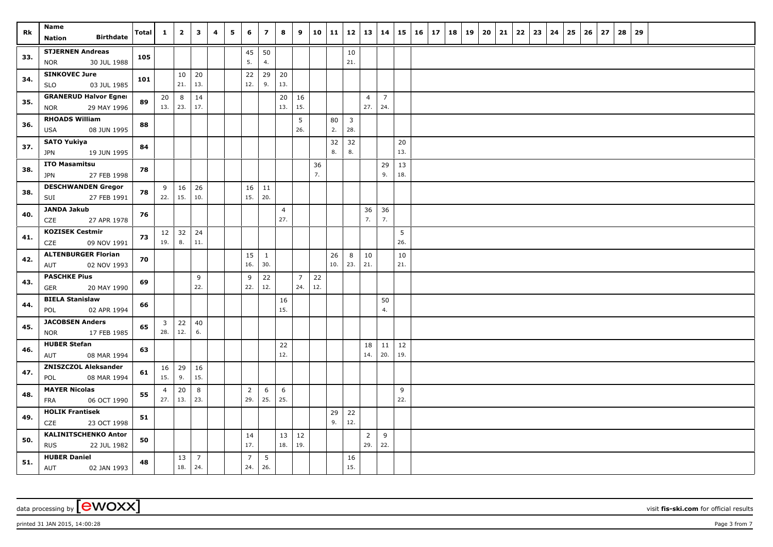| Rk  | Name<br><b>Birthdate</b><br>Nation                        | Total | $\mathbf{1}$          | $\overline{2}$     | $\mathbf{3}$          | 4 | 5 | 6                     | $\overline{\phantom{a}}$ | 8                     | 9                     | 10        | 11        | 12                             | 13                    | 14                    | 15        | $16 \mid 17$ | 18 | 19 | 20 | 21 | 22 | 23 | 24 | 25 | 26 | 27 | 28 | 29 |  |  |  |
|-----|-----------------------------------------------------------|-------|-----------------------|--------------------|-----------------------|---|---|-----------------------|--------------------------|-----------------------|-----------------------|-----------|-----------|--------------------------------|-----------------------|-----------------------|-----------|--------------|----|----|----|----|----|----|----|----|----|----|----|----|--|--|--|
| 33. | <b>STJERNEN Andreas</b><br><b>NOR</b><br>30 JUL 1988      | 105   |                       |                    |                       |   |   | 45<br>5.              | 50<br>4.                 |                       |                       |           |           | 10<br>21.                      |                       |                       |           |              |    |    |    |    |    |    |    |    |    |    |    |    |  |  |  |
| 34. | <b>SINKOVEC Jure</b><br>03 JUL 1985<br><b>SLO</b>         | 101   |                       | 10<br>21.          | 20<br>13.             |   |   | 22<br>12.             | 29<br>9.                 | 20<br>13.             |                       |           |           |                                |                       |                       |           |              |    |    |    |    |    |    |    |    |    |    |    |    |  |  |  |
| 35. | <b>GRANERUD Halvor Egner</b><br><b>NOR</b><br>29 MAY 1996 | 89    | 20<br>13.   23.       | 8                  | 14<br>17.             |   |   |                       |                          | 20<br>13.             | 16<br>15.             |           |           |                                | $\overline{4}$<br>27. | $\overline{7}$<br>24. |           |              |    |    |    |    |    |    |    |    |    |    |    |    |  |  |  |
| 36. | <b>RHOADS William</b><br>USA<br>08 JUN 1995               | 88    |                       |                    |                       |   |   |                       |                          |                       | 5<br>26.              |           | 80<br>2.  | $\overline{\mathbf{3}}$<br>28. |                       |                       |           |              |    |    |    |    |    |    |    |    |    |    |    |    |  |  |  |
| 37. | <b>SATO Yukiya</b><br><b>JPN</b><br>19 JUN 1995           | 84    |                       |                    |                       |   |   |                       |                          |                       |                       |           | 32<br>8.  | 32<br>8.                       |                       |                       | 20<br>13. |              |    |    |    |    |    |    |    |    |    |    |    |    |  |  |  |
| 38. | <b>ITO Masamitsu</b><br>27 FEB 1998<br><b>JPN</b>         | 78    |                       |                    |                       |   |   |                       |                          |                       |                       | 36<br>7.  |           |                                |                       | 29<br>9.              | 13<br>18. |              |    |    |    |    |    |    |    |    |    |    |    |    |  |  |  |
| 38. | <b>DESCHWANDEN Gregor</b><br>27 FEB 1991<br>SUI           | 78    | 9<br>22.              | 16<br>15.          | 26<br>10.             |   |   | 16<br>15.             | 11<br>20.                |                       |                       |           |           |                                |                       |                       |           |              |    |    |    |    |    |    |    |    |    |    |    |    |  |  |  |
| 40. | <b>JANDA Jakub</b><br>CZE<br>27 APR 1978                  | 76    |                       |                    |                       |   |   |                       |                          | $\overline{4}$<br>27. |                       |           |           |                                | 36<br>7.              | 36<br>7.              |           |              |    |    |    |    |    |    |    |    |    |    |    |    |  |  |  |
| 41. | <b>KOZISEK Cestmir</b><br>CZE<br>09 NOV 1991              | 73    | 19.                   | $12 \mid 32$<br>8. | 24<br>11.             |   |   |                       |                          |                       |                       |           |           |                                |                       |                       | 5<br>26.  |              |    |    |    |    |    |    |    |    |    |    |    |    |  |  |  |
| 42. | <b>ALTENBURGER Florian</b><br>02 NOV 1993<br>AUT          | 70    |                       |                    |                       |   |   | 15<br>16.             | $\mathbf{1}$<br>30.      |                       |                       |           | 26<br>10. | 8<br>23.                       | 10<br>21.             |                       | 10<br>21. |              |    |    |    |    |    |    |    |    |    |    |    |    |  |  |  |
| 43. | <b>PASCHKE Pius</b><br>GER<br>20 MAY 1990                 | 69    |                       |                    | 9<br>22.              |   |   | 9<br>22.              | 22<br>12.                |                       | $\overline{7}$<br>24. | 22<br>12. |           |                                |                       |                       |           |              |    |    |    |    |    |    |    |    |    |    |    |    |  |  |  |
| 44. | <b>BIELA Stanislaw</b><br>02 APR 1994<br>POL              | 66    |                       |                    |                       |   |   |                       |                          | 16<br>15.             |                       |           |           |                                |                       | 50<br>4.              |           |              |    |    |    |    |    |    |    |    |    |    |    |    |  |  |  |
| 45. | <b>JACOBSEN Anders</b><br><b>NOR</b><br>17 FEB 1985       | 65    | 3 <sup>1</sup><br>28. | 22<br>12.          | 40<br>6.              |   |   |                       |                          |                       |                       |           |           |                                |                       |                       |           |              |    |    |    |    |    |    |    |    |    |    |    |    |  |  |  |
| 46. | <b>HUBER Stefan</b><br>08 MAR 1994<br>AUT                 | 63    |                       |                    |                       |   |   |                       |                          | 22<br>12.             |                       |           |           |                                | 18<br>14.             | $11\,$<br>20.         | 12<br>19. |              |    |    |    |    |    |    |    |    |    |    |    |    |  |  |  |
| 47. | <b>ZNISZCZOL Aleksander</b><br>08 MAR 1994<br>POL         | 61    | 16<br>15.             | 29<br>9.           | 16<br>15.             |   |   |                       |                          |                       |                       |           |           |                                |                       |                       |           |              |    |    |    |    |    |    |    |    |    |    |    |    |  |  |  |
| 48. | <b>MAYER Nicolas</b><br>06 OCT 1990<br>FRA                | 55    | $\overline{4}$<br>27. | 20<br>13.          | 8<br>23.              |   |   | $\overline{2}$<br>29. | 6<br>25.                 | 6<br>25.              |                       |           |           |                                |                       |                       | 9<br>22.  |              |    |    |    |    |    |    |    |    |    |    |    |    |  |  |  |
| 49. | <b>HOLIK Frantisek</b><br>23 OCT 1998<br>CZE              | 51    |                       |                    |                       |   |   |                       |                          |                       |                       |           | 29<br>9.  | 22<br>12.                      |                       |                       |           |              |    |    |    |    |    |    |    |    |    |    |    |    |  |  |  |
| 50. | <b>KALINITSCHENKO Anton</b><br><b>RUS</b><br>22 JUL 1982  | 50    |                       |                    |                       |   |   | 14<br>17.             |                          | 13<br>18.             | 12<br>19.             |           |           |                                | $\overline{2}$<br>29. | 9<br>22.              |           |              |    |    |    |    |    |    |    |    |    |    |    |    |  |  |  |
| 51. | <b>HUBER Daniel</b><br>AUT<br>02 JAN 1993                 | 48    |                       | 13<br>18.          | $\overline{7}$<br>24. |   |   | $\overline{7}$<br>24. | $5\phantom{.0}$<br>26.   |                       |                       |           |           | 16<br>15.                      |                       |                       |           |              |    |    |    |    |    |    |    |    |    |    |    |    |  |  |  |

data processing by **CWOXX** visit **fis-ski.com** for official results

printed 31 JAN 2015, 14:00:28 Page 3 from 7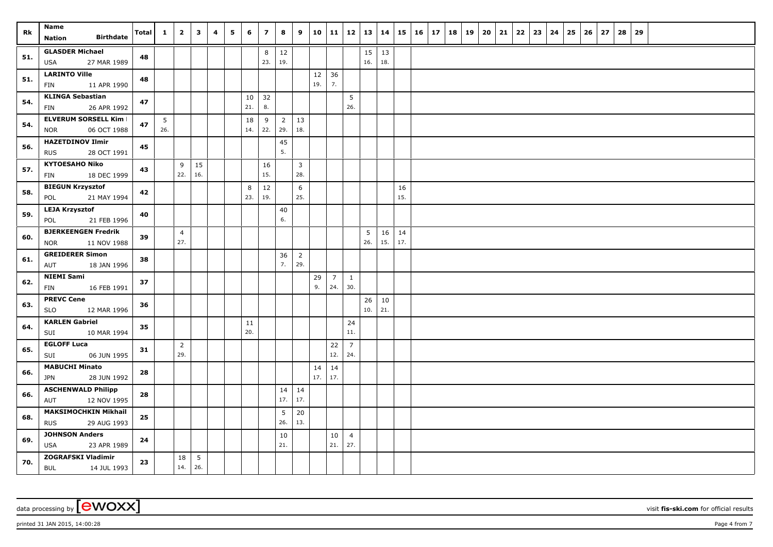| Rk  | Name<br><b>Birthdate</b><br>Nation                        | <b>Total</b> | $\mathbf{1}$ | $\overline{2}$        | $\overline{\mathbf{3}}$ | 4 | 5 | 6         | $\overline{z}$ | 8                     | 9                     | 10        | 11                    |                       | 12 13     | 14        |           | $15 \mid 16 \mid 17$ |  | 18   19 | $20 \mid 21$ | 22 | 23 | 24 | 25 | 26 | 27 | 28 | 29 |  |  |  |
|-----|-----------------------------------------------------------|--------------|--------------|-----------------------|-------------------------|---|---|-----------|----------------|-----------------------|-----------------------|-----------|-----------------------|-----------------------|-----------|-----------|-----------|----------------------|--|---------|--------------|----|----|----|----|----|----|----|----|--|--|--|
| 51. | <b>GLASDER Michael</b><br><b>USA</b><br>27 MAR 1989       | 48           |              |                       |                         |   |   |           | 8<br>23.       | $12\,$<br>19.         |                       |           |                       |                       | 15<br>16. | 13<br>18. |           |                      |  |         |              |    |    |    |    |    |    |    |    |  |  |  |
| 51. | <b>LARINTO Ville</b><br>11 APR 1990<br>FIN                | 48           |              |                       |                         |   |   |           |                |                       |                       | 12<br>19. | 36<br>7.              |                       |           |           |           |                      |  |         |              |    |    |    |    |    |    |    |    |  |  |  |
| 54. | <b>KLINGA Sebastian</b><br>26 APR 1992<br>FIN             | 47           |              |                       |                         |   |   | 10<br>21. | 32<br>8.       |                       |                       |           |                       | $\overline{5}$<br>26. |           |           |           |                      |  |         |              |    |    |    |    |    |    |    |    |  |  |  |
| 54. | <b>ELVERUM SORSELL Kim I</b><br>06 OCT 1988<br><b>NOR</b> | 47           | 5<br>26.     |                       |                         |   |   | 18<br>14. | 9<br>22.       | $\overline{2}$<br>29. | 13<br>18.             |           |                       |                       |           |           |           |                      |  |         |              |    |    |    |    |    |    |    |    |  |  |  |
| 56. | <b>HAZETDINOV Ilmir</b><br>28 OCT 1991<br><b>RUS</b>      | 45           |              |                       |                         |   |   |           |                | 45<br>5.              |                       |           |                       |                       |           |           |           |                      |  |         |              |    |    |    |    |    |    |    |    |  |  |  |
| 57. | <b>KYTOESAHO Niko</b><br>18 DEC 1999<br>FIN               | 43           |              | 9<br>22.              | 15<br>16.               |   |   |           | 16<br>15.      |                       | $\overline{3}$<br>28. |           |                       |                       |           |           |           |                      |  |         |              |    |    |    |    |    |    |    |    |  |  |  |
| 58. | <b>BIEGUN Krzysztof</b><br>POL<br>21 MAY 1994             | 42           |              |                       |                         |   |   | 8<br>23.  | $12\,$<br>19.  |                       | 6<br>25.              |           |                       |                       |           |           | 16<br>15. |                      |  |         |              |    |    |    |    |    |    |    |    |  |  |  |
| 59. | <b>LEJA Krzysztof</b><br>21 FEB 1996<br>POL               | 40           |              |                       |                         |   |   |           |                | 40<br>6.              |                       |           |                       |                       |           |           |           |                      |  |         |              |    |    |    |    |    |    |    |    |  |  |  |
| 60. | <b>BJERKEENGEN Fredrik</b><br>11 NOV 1988<br><b>NOR</b>   | 39           |              | $\overline{4}$<br>27. |                         |   |   |           |                |                       |                       |           |                       |                       | 5<br>26.  | 16<br>15. | 14<br>17. |                      |  |         |              |    |    |    |    |    |    |    |    |  |  |  |
| 61. | <b>GREIDERER Simon</b><br>AUT<br>18 JAN 1996              | 38           |              |                       |                         |   |   |           |                | 36<br>7.              | $\overline{2}$<br>29. |           |                       |                       |           |           |           |                      |  |         |              |    |    |    |    |    |    |    |    |  |  |  |
| 62. | <b>NIEMI Sami</b><br>FIN<br>16 FEB 1991                   | 37           |              |                       |                         |   |   |           |                |                       |                       | 29<br>9.  | $\overline{7}$<br>24. | $\mathbf{1}$<br>30.   |           |           |           |                      |  |         |              |    |    |    |    |    |    |    |    |  |  |  |
| 63. | <b>PREVC Cene</b><br><b>SLO</b><br>12 MAR 1996            | 36           |              |                       |                         |   |   |           |                |                       |                       |           |                       |                       | 26<br>10. | 10<br>21. |           |                      |  |         |              |    |    |    |    |    |    |    |    |  |  |  |
| 64. | <b>KARLEN Gabriel</b><br>10 MAR 1994<br>SUI               | 35           |              |                       |                         |   |   | 11<br>20. |                |                       |                       |           |                       | 24<br>11.             |           |           |           |                      |  |         |              |    |    |    |    |    |    |    |    |  |  |  |
| 65. | <b>EGLOFF Luca</b><br>SUI<br>06 JUN 1995                  | 31           |              | $\overline{2}$<br>29. |                         |   |   |           |                |                       |                       |           | 22<br>12.             | $\overline{7}$<br>24. |           |           |           |                      |  |         |              |    |    |    |    |    |    |    |    |  |  |  |
| 66. | <b>MABUCHI Minato</b><br>28 JUN 1992<br>JPN               | 28           |              |                       |                         |   |   |           |                |                       |                       | 14<br>17. | 14<br>17.             |                       |           |           |           |                      |  |         |              |    |    |    |    |    |    |    |    |  |  |  |
| 66. | <b>ASCHENWALD Philipp</b><br>12 NOV 1995<br>AUT           | 28           |              |                       |                         |   |   |           |                | $17.$ 17.             | $14 \mid 14$          |           |                       |                       |           |           |           |                      |  |         |              |    |    |    |    |    |    |    |    |  |  |  |
| 68. | <b>MAKSIMOCHKIN Mikhail</b><br><b>RUS</b><br>29 AUG 1993  | 25           |              |                       |                         |   |   |           |                | 5<br>26.              | 20<br>13.             |           |                       |                       |           |           |           |                      |  |         |              |    |    |    |    |    |    |    |    |  |  |  |
| 69. | <b>JOHNSON Anders</b><br>23 APR 1989<br><b>USA</b>        | 24           |              |                       |                         |   |   |           |                | 10<br>21.             |                       |           | 10<br>21.             | $\overline{4}$<br>27. |           |           |           |                      |  |         |              |    |    |    |    |    |    |    |    |  |  |  |
| 70. | <b>ZOGRAFSKI Vladimir</b><br><b>BUL</b><br>14 JUL 1993    | 23           |              | 18<br>14.             | $5\phantom{.0}$<br>26.  |   |   |           |                |                       |                       |           |                       |                       |           |           |           |                      |  |         |              |    |    |    |    |    |    |    |    |  |  |  |

printed 31 JAN 2015, 14:00:28 Page 4 from 7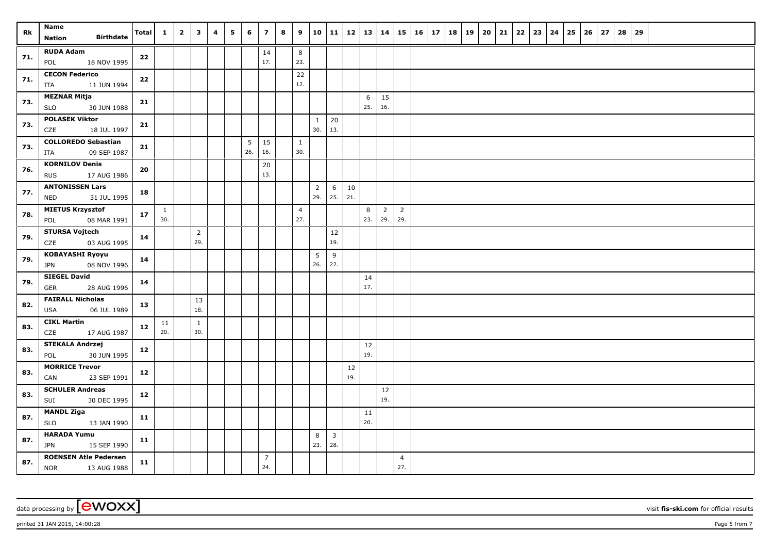| Rk  | Name<br><b>Birthdate</b>                                  | Total | $\mathbf{1}$        | $\overline{2}$ | $\overline{\mathbf{3}}$ | 4 | 5 | 6   | $\overline{z}$        | 8 | 9                     | 10                    | 11           |               | 12   13   14 |                       |                       | $15 \mid 16 \mid 17$ | 18 | 19 | 20 | 21 | $22 \mid 23 \mid$ | 24 | 25 | 26 | 27 | 28 | 29 |  |  |  |
|-----|-----------------------------------------------------------|-------|---------------------|----------------|-------------------------|---|---|-----|-----------------------|---|-----------------------|-----------------------|--------------|---------------|--------------|-----------------------|-----------------------|----------------------|----|----|----|----|-------------------|----|----|----|----|----|----|--|--|--|
|     | <b>Nation</b>                                             |       |                     |                |                         |   |   |     |                       |   |                       |                       |              |               |              |                       |                       |                      |    |    |    |    |                   |    |    |    |    |    |    |  |  |  |
| 71. | <b>RUDA Adam</b><br>18 NOV 1995<br>POL                    | 22    |                     |                |                         |   |   |     | 14<br>17.             |   | $\bf8$<br>23.         |                       |              |               |              |                       |                       |                      |    |    |    |    |                   |    |    |    |    |    |    |  |  |  |
| 71. | <b>CECON Federico</b><br>11 JUN 1994<br>ITA               | 22    |                     |                |                         |   |   |     |                       |   | 22<br>12.             |                       |              |               |              |                       |                       |                      |    |    |    |    |                   |    |    |    |    |    |    |  |  |  |
| 73. | <b>MEZNAR Mitja</b><br>SLO<br>30 JUN 1988                 | 21    |                     |                |                         |   |   |     |                       |   |                       |                       |              |               | 6<br>25.     | 15<br>16.             |                       |                      |    |    |    |    |                   |    |    |    |    |    |    |  |  |  |
| 73. | <b>POLASEK Viktor</b>                                     | 21    |                     |                |                         |   |   |     |                       |   |                       | $\mathbf{1}$          | 20           |               |              |                       |                       |                      |    |    |    |    |                   |    |    |    |    |    |    |  |  |  |
| 73. | CZE<br>18 JUL 1997<br><b>COLLOREDO Sebastian</b>          | 21    |                     |                |                         |   |   | 5   | 15                    |   | 1                     | 30.                   | 13.          |               |              |                       |                       |                      |    |    |    |    |                   |    |    |    |    |    |    |  |  |  |
|     | 09 SEP 1987<br>ITA<br><b>KORNILOV Denis</b>               |       |                     |                |                         |   |   | 26. | 16.<br>20             |   | 30.                   |                       |              |               |              |                       |                       |                      |    |    |    |    |                   |    |    |    |    |    |    |  |  |  |
| 76. | 17 AUG 1986<br><b>RUS</b>                                 | 20    |                     |                |                         |   |   |     | 13.                   |   |                       |                       |              |               |              |                       |                       |                      |    |    |    |    |                   |    |    |    |    |    |    |  |  |  |
| 77. | <b>ANTONISSEN Lars</b><br>31 JUL 1995<br><b>NED</b>       | 18    |                     |                |                         |   |   |     |                       |   |                       | $\overline{2}$<br>29. | 6<br>25.     | 10<br>21.     |              |                       |                       |                      |    |    |    |    |                   |    |    |    |    |    |    |  |  |  |
| 78. | <b>MIETUS Krzysztof</b><br>08 MAR 1991<br>POL             | 17    | $\mathbf{1}$<br>30. |                |                         |   |   |     |                       |   | $\overline{4}$<br>27. |                       |              |               | 8<br>23.     | $\overline{2}$<br>29. | $\overline{2}$<br>29. |                      |    |    |    |    |                   |    |    |    |    |    |    |  |  |  |
| 79. | <b>STURSA Vojtech</b><br>03 AUG 1995<br>CZE               | 14    |                     |                | $\overline{2}$<br>29.   |   |   |     |                       |   |                       |                       | 12<br>19.    |               |              |                       |                       |                      |    |    |    |    |                   |    |    |    |    |    |    |  |  |  |
| 79. | <b>KOBAYASHI Ryoyu</b>                                    | 14    |                     |                |                         |   |   |     |                       |   |                       | 5                     | 9            |               |              |                       |                       |                      |    |    |    |    |                   |    |    |    |    |    |    |  |  |  |
| 79. | 08 NOV 1996<br><b>JPN</b><br><b>SIEGEL David</b>          | 14    |                     |                |                         |   |   |     |                       |   |                       | 26.                   | 22.          |               | 14           |                       |                       |                      |    |    |    |    |                   |    |    |    |    |    |    |  |  |  |
|     | GER<br>28 AUG 1996<br><b>FAIRALL Nicholas</b>             |       |                     |                |                         |   |   |     |                       |   |                       |                       |              |               | 17.          |                       |                       |                      |    |    |    |    |                   |    |    |    |    |    |    |  |  |  |
| 82. | USA<br>06 JUL 1989                                        | 13    |                     |                | 13<br>18.               |   |   |     |                       |   |                       |                       |              |               |              |                       |                       |                      |    |    |    |    |                   |    |    |    |    |    |    |  |  |  |
| 83. | <b>CIKL Martin</b><br>CZE<br>17 AUG 1987                  | 12    | 11<br>20.           |                | $\mathbf{1}$<br>30.     |   |   |     |                       |   |                       |                       |              |               |              |                       |                       |                      |    |    |    |    |                   |    |    |    |    |    |    |  |  |  |
| 83. | <b>STEKALA Andrzej</b><br>30 JUN 1995<br>POL              | 12    |                     |                |                         |   |   |     |                       |   |                       |                       |              |               | 12<br>19.    |                       |                       |                      |    |    |    |    |                   |    |    |    |    |    |    |  |  |  |
| 83. | <b>MORRICE Trevor</b><br>23 SEP 1991<br>CAN               | 12    |                     |                |                         |   |   |     |                       |   |                       |                       |              | $12\,$<br>19. |              |                       |                       |                      |    |    |    |    |                   |    |    |    |    |    |    |  |  |  |
| 83. | <b>SCHULER Andreas</b>                                    | 12    |                     |                |                         |   |   |     |                       |   |                       |                       |              |               |              | 12<br>19.             |                       |                      |    |    |    |    |                   |    |    |    |    |    |    |  |  |  |
| 87. | SUI<br>30 DEC 1995<br><b>MANDL Ziga</b>                   | 11    |                     |                |                         |   |   |     |                       |   |                       |                       |              |               | 11           |                       |                       |                      |    |    |    |    |                   |    |    |    |    |    |    |  |  |  |
|     | 13 JAN 1990<br><b>SLO</b><br><b>HARADA Yumu</b>           |       |                     |                |                         |   |   |     |                       |   |                       | 8                     | $\mathbf{3}$ |               | 20.          |                       |                       |                      |    |    |    |    |                   |    |    |    |    |    |    |  |  |  |
| 87. | <b>JPN</b><br>15 SEP 1990                                 | 11    |                     |                |                         |   |   |     |                       |   |                       | 23.                   | 28.          |               |              |                       |                       |                      |    |    |    |    |                   |    |    |    |    |    |    |  |  |  |
| 87. | <b>ROENSEN Atle Pedersen</b><br><b>NOR</b><br>13 AUG 1988 | 11    |                     |                |                         |   |   |     | $\overline{7}$<br>24. |   |                       |                       |              |               |              |                       | $\overline{4}$<br>27. |                      |    |    |    |    |                   |    |    |    |    |    |    |  |  |  |

printed 31 JAN 2015, 14:00:28 **Page 5** from 7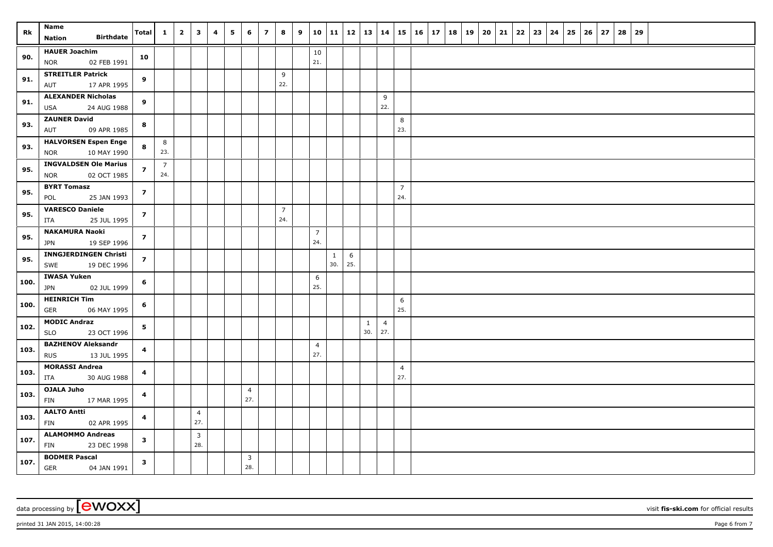| Rk   | <b>Name</b>                                               | Total                   | $\mathbf{1}$          | $\overline{\mathbf{2}}$ | $\overline{\mathbf{3}}$        | 4 | 5 | 6                     | $\overline{z}$ | 8                     | 9 | 10                    | 11                  | 12   13   14 |          |                       | 15                    | $16 \mid 17$ | 18 | 19 | 20 | 21 | 22 | $23 \mid 24$ | 25 | 26 | 27 | 28 | 29 |  |  |  |
|------|-----------------------------------------------------------|-------------------------|-----------------------|-------------------------|--------------------------------|---|---|-----------------------|----------------|-----------------------|---|-----------------------|---------------------|--------------|----------|-----------------------|-----------------------|--------------|----|----|----|----|----|--------------|----|----|----|----|----|--|--|--|
|      | <b>Birthdate</b><br><b>Nation</b>                         |                         |                       |                         |                                |   |   |                       |                |                       |   |                       |                     |              |          |                       |                       |              |    |    |    |    |    |              |    |    |    |    |    |  |  |  |
| 90.  | <b>HAUER Joachim</b><br><b>NOR</b><br>02 FEB 1991         | 10                      |                       |                         |                                |   |   |                       |                |                       |   | 10<br>21.             |                     |              |          |                       |                       |              |    |    |    |    |    |              |    |    |    |    |    |  |  |  |
| 91.  | <b>STREITLER Patrick</b><br>17 APR 1995<br>AUT            | 9                       |                       |                         |                                |   |   |                       |                | 9<br>22.              |   |                       |                     |              |          |                       |                       |              |    |    |    |    |    |              |    |    |    |    |    |  |  |  |
| 91.  | <b>ALEXANDER Nicholas</b>                                 | 9                       |                       |                         |                                |   |   |                       |                |                       |   |                       |                     |              |          | 9                     |                       |              |    |    |    |    |    |              |    |    |    |    |    |  |  |  |
|      | USA<br>24 AUG 1988                                        |                         |                       |                         |                                |   |   |                       |                |                       |   |                       |                     |              |          | 22.                   |                       |              |    |    |    |    |    |              |    |    |    |    |    |  |  |  |
| 93.  | <b>ZAUNER David</b><br>09 APR 1985<br>AUT                 | 8                       |                       |                         |                                |   |   |                       |                |                       |   |                       |                     |              |          |                       | 8<br>23.              |              |    |    |    |    |    |              |    |    |    |    |    |  |  |  |
| 93.  | <b>HALVORSEN Espen Enge</b><br><b>NOR</b><br>10 MAY 1990  | 8                       | 8<br>23.              |                         |                                |   |   |                       |                |                       |   |                       |                     |              |          |                       |                       |              |    |    |    |    |    |              |    |    |    |    |    |  |  |  |
| 95.  | <b>INGVALDSEN Ole Marius</b><br>02 OCT 1985<br><b>NOR</b> | $\overline{z}$          | $\overline{7}$<br>24. |                         |                                |   |   |                       |                |                       |   |                       |                     |              |          |                       |                       |              |    |    |    |    |    |              |    |    |    |    |    |  |  |  |
| 95.  | <b>BYRT Tomasz</b><br>25 JAN 1993<br>POL                  | $\overline{z}$          |                       |                         |                                |   |   |                       |                |                       |   |                       |                     |              |          |                       | $\overline{7}$<br>24. |              |    |    |    |    |    |              |    |    |    |    |    |  |  |  |
| 95.  | <b>VARESCO Daniele</b><br>25 JUL 1995<br>ITA              | $\overline{z}$          |                       |                         |                                |   |   |                       |                | $\overline{7}$<br>24. |   |                       |                     |              |          |                       |                       |              |    |    |    |    |    |              |    |    |    |    |    |  |  |  |
|      | <b>NAKAMURA Naoki</b>                                     |                         |                       |                         |                                |   |   |                       |                |                       |   | $\overline{7}$        |                     |              |          |                       |                       |              |    |    |    |    |    |              |    |    |    |    |    |  |  |  |
| 95.  | <b>JPN</b><br>19 SEP 1996                                 | $\overline{z}$          |                       |                         |                                |   |   |                       |                |                       |   | 24.                   |                     |              |          |                       |                       |              |    |    |    |    |    |              |    |    |    |    |    |  |  |  |
| 95.  | <b>INNGJERDINGEN Christi</b><br>SWE<br>19 DEC 1996        | $\overline{z}$          |                       |                         |                                |   |   |                       |                |                       |   |                       | $\mathbf{1}$<br>30. | 6<br>25.     |          |                       |                       |              |    |    |    |    |    |              |    |    |    |    |    |  |  |  |
| 100. | <b>IWASA Yuken</b><br><b>JPN</b><br>02 JUL 1999           | 6                       |                       |                         |                                |   |   |                       |                |                       |   | 6<br>25.              |                     |              |          |                       |                       |              |    |    |    |    |    |              |    |    |    |    |    |  |  |  |
| 100. | <b>HEINRICH Tim</b><br>GER<br>06 MAY 1995                 | 6                       |                       |                         |                                |   |   |                       |                |                       |   |                       |                     |              |          |                       | 6<br>25.              |              |    |    |    |    |    |              |    |    |    |    |    |  |  |  |
| 102. | <b>MODIC Andraz</b><br>23 OCT 1996<br><b>SLO</b>          | 5                       |                       |                         |                                |   |   |                       |                |                       |   |                       |                     |              | 1<br>30. | $\overline{4}$<br>27. |                       |              |    |    |    |    |    |              |    |    |    |    |    |  |  |  |
| 103. | <b>BAZHENOV Aleksandr</b><br>13 JUL 1995<br><b>RUS</b>    | 4                       |                       |                         |                                |   |   |                       |                |                       |   | $\overline{4}$<br>27. |                     |              |          |                       |                       |              |    |    |    |    |    |              |    |    |    |    |    |  |  |  |
| 103. | <b>MORASSI Andrea</b><br>30 AUG 1988<br>ITA               | 4                       |                       |                         |                                |   |   |                       |                |                       |   |                       |                     |              |          |                       | $\overline{4}$<br>27. |              |    |    |    |    |    |              |    |    |    |    |    |  |  |  |
| 103. | OJALA Juho<br>FIN<br>17 MAR 1995                          | $\overline{\mathbf{4}}$ |                       |                         |                                |   |   | $\overline{4}$<br>27. |                |                       |   |                       |                     |              |          |                       |                       |              |    |    |    |    |    |              |    |    |    |    |    |  |  |  |
| 103. | <b>AALTO Antti</b><br>FIN<br>02 APR 1995                  | 4                       |                       |                         | $\overline{4}$<br>27.          |   |   |                       |                |                       |   |                       |                     |              |          |                       |                       |              |    |    |    |    |    |              |    |    |    |    |    |  |  |  |
| 107. | <b>ALAMOMMO Andreas</b><br>23 DEC 1998<br>FIN             | $\mathbf{3}$            |                       |                         | $\overline{\mathbf{3}}$<br>28. |   |   |                       |                |                       |   |                       |                     |              |          |                       |                       |              |    |    |    |    |    |              |    |    |    |    |    |  |  |  |
| 107. | <b>BODMER Pascal</b><br><b>GER</b><br>04 JAN 1991         | $\mathbf{3}$            |                       |                         |                                |   |   | 3<br>28.              |                |                       |   |                       |                     |              |          |                       |                       |              |    |    |    |    |    |              |    |    |    |    |    |  |  |  |

printed 31 JAN 2015, 14:00:28 **Page 6** from 7